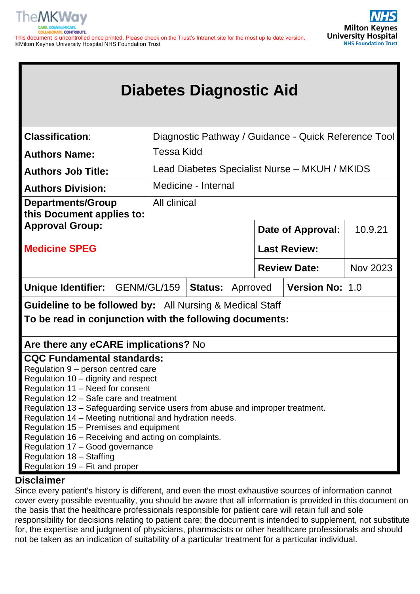



# **Diabetes Diagnostic Aid**

| <b>Classification:</b>                                                        |                                                                                               |                     |  |  | Diagnostic Pathway / Guidance - Quick Reference Tool |  |
|-------------------------------------------------------------------------------|-----------------------------------------------------------------------------------------------|---------------------|--|--|------------------------------------------------------|--|
| <b>Authors Name:</b>                                                          | <b>Tessa Kidd</b>                                                                             |                     |  |  |                                                      |  |
| <b>Authors Job Title:</b>                                                     | Lead Diabetes Specialist Nurse - MKUH / MKIDS                                                 |                     |  |  |                                                      |  |
| <b>Authors Division:</b>                                                      |                                                                                               | Medicine - Internal |  |  |                                                      |  |
| <b>Departments/Group</b><br>this Document applies to:                         | All clinical                                                                                  |                     |  |  |                                                      |  |
| <b>Approval Group:</b>                                                        | 10.9.21<br><b>Date of Approval:</b>                                                           |                     |  |  |                                                      |  |
| <b>Medicine SPEG</b>                                                          | <b>Last Review:</b>                                                                           |                     |  |  |                                                      |  |
|                                                                               | <b>Nov 2023</b><br><b>Review Date:</b>                                                        |                     |  |  |                                                      |  |
| <b>Unique Identifier:</b>                                                     | <b>Version No: 1.0</b><br>GENM/GL/159<br><b>Status: Aprroved</b>                              |                     |  |  |                                                      |  |
| <b>Guideline to be followed by:</b> All Nursing & Medical Staff               |                                                                                               |                     |  |  |                                                      |  |
| To be read in conjunction with the following documents:                       |                                                                                               |                     |  |  |                                                      |  |
| Are there any eCARE implications? No                                          |                                                                                               |                     |  |  |                                                      |  |
| <b>CQC Fundamental standards:</b>                                             |                                                                                               |                     |  |  |                                                      |  |
| Regulation 9 - person centred care                                            |                                                                                               |                     |  |  |                                                      |  |
| Regulation 10 - dignity and respect                                           |                                                                                               |                     |  |  |                                                      |  |
| Regulation 11 - Need for consent                                              |                                                                                               |                     |  |  |                                                      |  |
| Regulation 12 - Safe care and treatment                                       |                                                                                               |                     |  |  |                                                      |  |
| Regulation 13 - Safeguarding service users from abuse and improper treatment. |                                                                                               |                     |  |  |                                                      |  |
| Regulation 14 - Meeting nutritional and hydration needs.                      |                                                                                               |                     |  |  |                                                      |  |
|                                                                               | Regulation 15 - Premises and equipment<br>Regulation 16 - Receiving and acting on complaints. |                     |  |  |                                                      |  |
| Regulation 17 - Good governance                                               |                                                                                               |                     |  |  |                                                      |  |
| Regulation 18 - Staffing                                                      |                                                                                               |                     |  |  |                                                      |  |
| Regulation 19 – Fit and proper                                                |                                                                                               |                     |  |  |                                                      |  |
| <b>Nicolaimeau</b>                                                            |                                                                                               |                     |  |  |                                                      |  |

# **Disclaimer**

Since every patient's history is different, and even the most exhaustive sources of information cannot cover every possible eventuality, you should be aware that all information is provided in this document on the basis that the healthcare professionals responsible for patient care will retain full and sole responsibility for decisions relating to patient care; the document is intended to supplement, not substitute for, the expertise and judgment of physicians, pharmacists or other healthcare professionals and should not be taken as an indication of suitability of a particular treatment for a particular individual.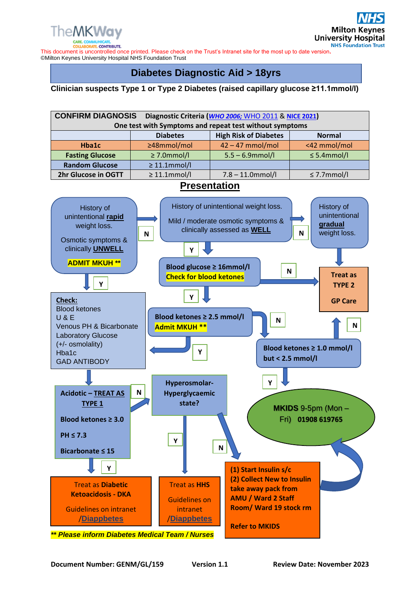

This document is uncontrolled once printed. Please check on the Trust's Intranet site for the most up to date version**.** ©Milton Keynes University Hospital NHS Foundation Trust

# **Diabetes Diagnostic Aid > 18yrs**

#### **Clinician suspects Type 1 or Type 2 Diabetes (raised capillary glucose ≥11.1mmol/l)**

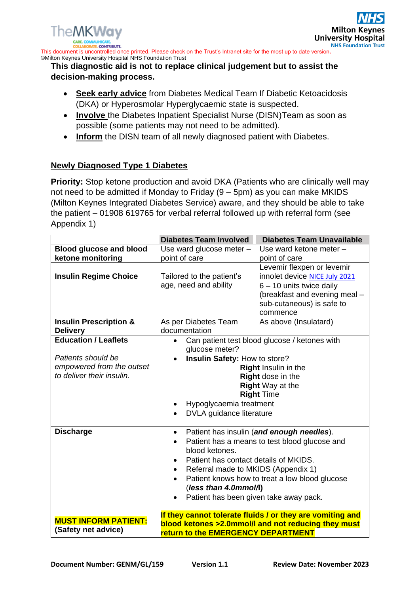This document is uncontrolled once printed. Please check on the Trust's Intranet site for the most up to date version**.** ©Milton Keynes University Hospital NHS Foundation Trust

### **This diagnostic aid is not to replace clinical judgement but to assist the decision-making process.**

- **Seek early advice** from Diabetes Medical Team If Diabetic Ketoacidosis (DKA) or Hyperosmolar Hyperglycaemic state is suspected.
- **Involve** the Diabetes Inpatient Specialist Nurse (DISN)Team as soon as possible (some patients may not need to be admitted).
- **Inform** the DISN team of all newly diagnosed patient with Diabetes.

## **Newly Diagnosed Type 1 Diabetes**

**Priority:** Stop ketone production and avoid DKA (Patients who are clinically well may not need to be admitted if Monday to Friday (9 – 5pm) as you can make MKIDS (Milton Keynes Integrated Diabetes Service) aware, and they should be able to take the patient – 01908 619765 for verbal referral followed up with referral form (see Appendix 1)

|                                                                                                             | <b>Diabetes Team Involved</b>                                                                                                                                                                            | <b>Diabetes Team Unavailable</b>                                                                                                                                    |
|-------------------------------------------------------------------------------------------------------------|----------------------------------------------------------------------------------------------------------------------------------------------------------------------------------------------------------|---------------------------------------------------------------------------------------------------------------------------------------------------------------------|
| <b>Blood glucose and blood</b>                                                                              | Use ward glucose meter -                                                                                                                                                                                 | Use ward ketone meter -                                                                                                                                             |
| ketone monitoring                                                                                           | point of care                                                                                                                                                                                            | point of care                                                                                                                                                       |
| <b>Insulin Regime Choice</b>                                                                                | Tailored to the patient's<br>age, need and ability                                                                                                                                                       | Levemir flexpen or levemir<br>innolet device NICE July 2021<br>$6 - 10$ units twice daily<br>(breakfast and evening meal -<br>sub-cutaneous) is safe to<br>commence |
| <b>Insulin Prescription &amp;</b><br><b>Delivery</b>                                                        | As per Diabetes Team<br>documentation                                                                                                                                                                    | As above (Insulatard)                                                                                                                                               |
| <b>Education / Leaflets</b><br>Patients should be<br>empowered from the outset<br>to deliver their insulin. | glucose meter?<br>Insulin Safety: How to store?<br>Hypoglycaemia treatment<br>DVLA guidance literature                                                                                                   | Can patient test blood glucose / ketones with<br>Right Insulin in the<br>Right dose in the<br><b>Right Way at the</b><br><b>Right Time</b>                          |
| <b>Discharge</b>                                                                                            | $\bullet$<br>blood ketones.<br>Patient has contact details of MKIDS.<br>$\bullet$<br>Referral made to MKIDS (Appendix 1)<br>$\bullet$<br>(less than 4.0mmol/l)<br>Patient has been given take away pack. | Patient has insulin (and enough needles).<br>Patient has a means to test blood glucose and<br>Patient knows how to treat a low blood glucose                        |
| <b>MUST INFORM PATIENT:</b><br>(Safety net advice)                                                          | <b>return to the EMERGENCY DEPARTMENT</b>                                                                                                                                                                | If they cannot tolerate fluids / or they are vomiting and<br>blood ketones >2.0mmol/l and not reducing they must                                                    |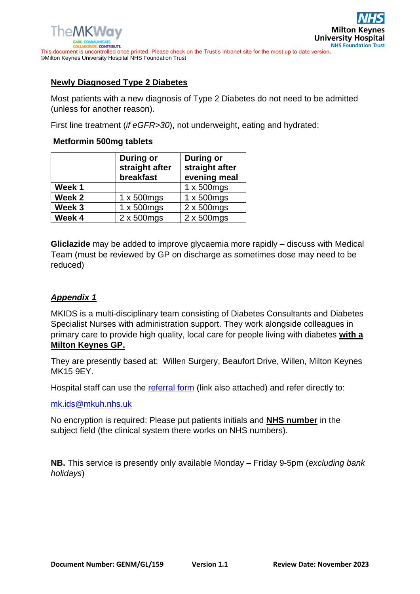## **Newly Diagnosed Type 2 Diabetes**

Most patients with a new diagnosis of Type 2 Diabetes do not need to be admitted (unless for another reason).

First line treatment (*if eGFR>30*), not underweight, eating and hydrated:

## **Metformin 500mg tablets**

|        | <b>During or</b><br><b>During or</b><br>straight after<br>straight after<br>evening meal<br>breakfast |                    |
|--------|-------------------------------------------------------------------------------------------------------|--------------------|
| Week 1 |                                                                                                       | $1 \times 500$ mgs |
| Week 2 | $1 \times 500$ mgs                                                                                    | $1 \times 500$ mgs |
| Week 3 | 1 x 500mgs                                                                                            | 2 x 500mgs         |
| Week 4 | 2 x 500mgs                                                                                            | 2 x 500mgs         |

**Gliclazide** may be added to improve glycaemia more rapidly – discuss with Medical Team (must be reviewed by GP on discharge as sometimes dose may need to be reduced)

## *Appendix 1*

MKIDS is a multi-disciplinary team consisting of Diabetes Consultants and Diabetes Specialist Nurses with administration support. They work alongside colleagues in primary care to provide high quality, local care for people living with diabetes **with a Milton Keynes GP.**

They are presently based at: Willen Surgery, Beaufort Drive, Willen, Milton Keynes MK15 9EY.

Hospital staff can use the [referral form](https://mkuhcloud.sharepoint.com/sites/MKIDS/Shared%20Documents/General/MKIDS/Referrals/MKUH%20referral%20form.docx) (link also attached) and refer directly to:

[mk.ids@mkuh.nhs.uk](mailto:mk.ids@mkuh.nhs.uk)

No encryption is required: Please put patients initials and **NHS number** in the subject field (the clinical system there works on NHS numbers).

**NB.** This service is presently only available Monday – Friday 9-5pm (*excluding bank holidays*)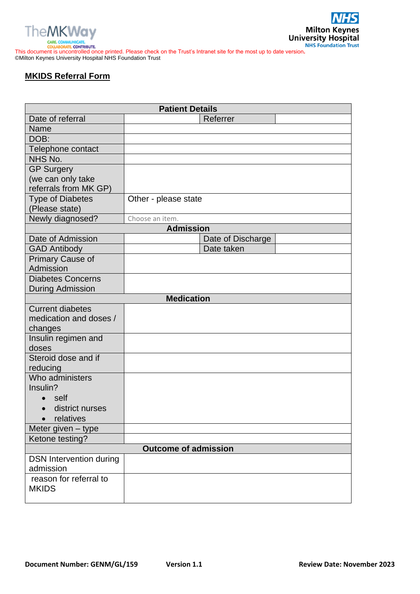



**THES CONSUMERTE:**<br>
COLLABORATE CONSUMPLENTE.<br>
This document is uncontrolled once printed. Please check on the Trust's Intranet site for the most up to date version. ©Milton Keynes University Hospital NHS Foundation Trust

# **MKIDS Referral Form**

| <b>Patient Details</b>         |                                                |                   |  |  |  |
|--------------------------------|------------------------------------------------|-------------------|--|--|--|
| Date of referral               |                                                | Referrer          |  |  |  |
| <b>Name</b>                    |                                                |                   |  |  |  |
| DOB:                           |                                                |                   |  |  |  |
| Telephone contact              |                                                |                   |  |  |  |
| NHS No.                        |                                                |                   |  |  |  |
| <b>GP Surgery</b>              |                                                |                   |  |  |  |
| (we can only take              |                                                |                   |  |  |  |
| referrals from MK GP)          |                                                |                   |  |  |  |
| <b>Type of Diabetes</b>        | Other - please state                           |                   |  |  |  |
| (Please state)                 |                                                |                   |  |  |  |
| Newly diagnosed?               | Choose an item.                                |                   |  |  |  |
|                                | <b>Admission</b>                               |                   |  |  |  |
| Date of Admission              |                                                | Date of Discharge |  |  |  |
| <b>GAD Antibody</b>            |                                                | Date taken        |  |  |  |
| <b>Primary Cause of</b>        |                                                |                   |  |  |  |
| Admission                      |                                                |                   |  |  |  |
| <b>Diabetes Concerns</b>       |                                                |                   |  |  |  |
| <b>During Admission</b>        |                                                |                   |  |  |  |
|                                | <b>Medication</b>                              |                   |  |  |  |
| <b>Current diabetes</b>        |                                                |                   |  |  |  |
| medication and doses /         |                                                |                   |  |  |  |
| changes                        |                                                |                   |  |  |  |
| Insulin regimen and            |                                                |                   |  |  |  |
| doses                          |                                                |                   |  |  |  |
| Steroid dose and if            |                                                |                   |  |  |  |
| reducing<br>Who administers    |                                                |                   |  |  |  |
| Insulin?                       |                                                |                   |  |  |  |
|                                |                                                |                   |  |  |  |
| self                           |                                                |                   |  |  |  |
| district nurses                |                                                |                   |  |  |  |
| relatives                      |                                                |                   |  |  |  |
| Meter given - type             |                                                |                   |  |  |  |
|                                | Ketone testing?<br><b>Outcome of admission</b> |                   |  |  |  |
| <b>DSN Intervention during</b> |                                                |                   |  |  |  |
| admission                      |                                                |                   |  |  |  |
| reason for referral to         |                                                |                   |  |  |  |
| <b>MKIDS</b>                   |                                                |                   |  |  |  |
|                                |                                                |                   |  |  |  |
|                                |                                                |                   |  |  |  |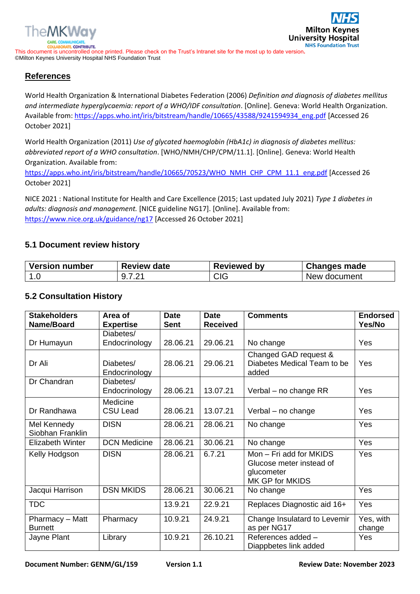

**Milton Key University Hospital NHS Foundation Trust** 

This document is uncontrolled once printed. Please check on the Trust's Intranet site for the most up to date version**.** ©Milton Keynes University Hospital NHS Foundation Trust

## **References**

World Health Organization & International Diabetes Federation (2006) *Definition and diagnosis of diabetes mellitus and intermediate hyperglycaemia: report of a WHO/IDF consultation*. [Online]. Geneva: World Health Organization. Available from: [https://apps.who.int/iris/bitstream/handle/10665/43588/9241594934\\_eng.pdf](https://apps.who.int/iris/bitstream/handle/10665/43588/9241594934_eng.pdf) [Accessed 26 October 2021]

World Health Organization (2011) *Use of glycated haemoglobin (HbA1c) in diagnosis of diabetes mellitus: abbreviated report of a WHO consultation*. [WHO/NMH/CHP/CPM/11.1]. [Online]. Geneva: World Health Organization. Available from:

[https://apps.who.int/iris/bitstream/handle/10665/70523/WHO\\_NMH\\_CHP\\_CPM\\_11.1\\_eng.pdf](https://apps.who.int/iris/bitstream/handle/10665/70523/WHO_NMH_CHP_CPM_11.1_eng.pdf) [Accessed 26 October 2021]

NICE 2021 : National Institute for Health and Care Excellence (2015; Last updated July 2021) *Type 1 diabetes in adults: diagnosis and management.* [NICE guideline NG17]. [Online]. Available from: <https://www.nice.org.uk/guidance/ng17> [Accessed 26 October 2021]

#### **5.1 Document review history**

| <b>Version number</b> | <b>Review date</b> | <b>Reviewed by</b> | <b>Changes made</b> |
|-----------------------|--------------------|--------------------|---------------------|
| ı.U                   | QZ21<br><u>.</u>   | CIG                | New document        |

#### **5.2 Consultation History**

| <b>Stakeholders</b><br>Name/Board | Area of<br><b>Expertise</b> | <b>Date</b><br><b>Sent</b> | <b>Date</b><br><b>Received</b> | <b>Comments</b>                                                                      | <b>Endorsed</b><br>Yes/No |
|-----------------------------------|-----------------------------|----------------------------|--------------------------------|--------------------------------------------------------------------------------------|---------------------------|
| Dr Humayun                        | Diabetes/<br>Endocrinology  | 28.06.21                   | 29.06.21                       | No change                                                                            | Yes                       |
| Dr Ali                            | Diabetes/<br>Endocrinology  | 28.06.21                   | 29.06.21                       | Changed GAD request &<br>Diabetes Medical Team to be<br>added                        | Yes                       |
| Dr Chandran                       | Diabetes/<br>Endocrinology  | 28.06.21                   | 13.07.21                       | Verbal – no change RR                                                                | <b>Yes</b>                |
| Dr Randhawa                       | Medicine<br><b>CSU Lead</b> | 28.06.21                   | 13.07.21                       | Verbal - no change                                                                   | Yes                       |
| Mel Kennedy<br>Siobhan Franklin   | <b>DISN</b>                 | 28.06.21                   | 28.06.21                       | No change                                                                            | Yes                       |
| <b>Elizabeth Winter</b>           | <b>DCN Medicine</b>         | 28.06.21                   | 30.06.21                       | No change                                                                            | Yes                       |
| Kelly Hodgson                     | <b>DISN</b>                 | 28.06.21                   | 6.7.21                         | Mon - Fri add for MKIDS<br>Glucose meter instead of<br>glucometer<br>MK GP for MKIDS | Yes                       |
| Jacqui Harrison                   | <b>DSN MKIDS</b>            | 28.06.21                   | 30.06.21                       | No change                                                                            | <b>Yes</b>                |
| <b>TDC</b>                        |                             | 13.9.21                    | 22.9.21                        | Replaces Diagnostic aid 16+                                                          | Yes                       |
| Pharmacy - Matt<br><b>Burnett</b> | Pharmacy                    | 10.9.21                    | 24.9.21                        | Change Insulatard to Levemir<br>as per NG17                                          | Yes, with<br>change       |
| Jayne Plant                       | Library                     | 10.9.21                    | 26.10.21                       | References added -<br>Diappbetes link added                                          | Yes                       |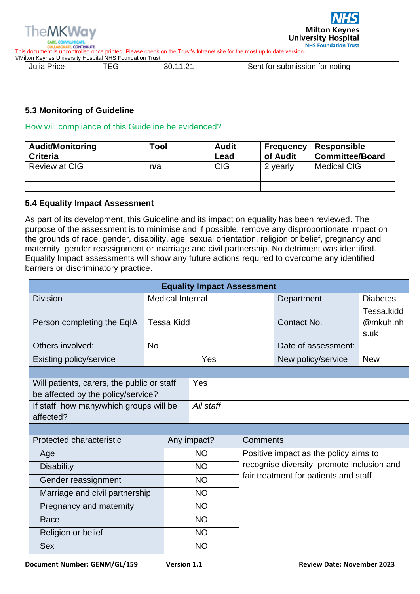

This document is uncontrolled once printed. Please check on the Trust's Intranet site for the most up to date version**.**

| ©Milton Kevnes Universitv Hospital NHS Foundation Trust |  |                       |  |                                |  |  |
|---------------------------------------------------------|--|-----------------------|--|--------------------------------|--|--|
| Julia Price                                             |  | 3U.<br>$\overline{1}$ |  | Sent for submission for noting |  |  |

## **5.3 Monitoring of Guideline**

#### How will compliance of this Guideline be evidenced?

| <b>Audit/Monitoring</b><br><b>Criteria</b> | Tool | <b>Audit</b><br>Lead | <b>Frequency</b><br>of Audit | <b>Responsible</b><br><b>Committee/Board</b> |
|--------------------------------------------|------|----------------------|------------------------------|----------------------------------------------|
| Review at CIG                              | n/a  | <b>CIG</b>           | 2 yearly                     | Medical CIG                                  |
|                                            |      |                      |                              |                                              |
|                                            |      |                      |                              |                                              |

#### **5.4 Equality Impact Assessment**

As part of its development, this Guideline and its impact on equality has been reviewed. The purpose of the assessment is to minimise and if possible, remove any disproportionate impact on the grounds of race, gender, disability, age, sexual orientation, religion or belief, pregnancy and maternity, gender reassignment or marriage and civil partnership. No detriment was identified. Equality Impact assessments will show any future actions required to overcome any identified barriers or discriminatory practice.

| <b>Equality Impact Assessment</b>                                                |           |                         |                                                    |  |                                            |                                |  |
|----------------------------------------------------------------------------------|-----------|-------------------------|----------------------------------------------------|--|--------------------------------------------|--------------------------------|--|
| <b>Division</b>                                                                  |           | <b>Medical Internal</b> |                                                    |  | Department                                 | <b>Diabetes</b>                |  |
| Person completing the EqIA                                                       |           | <b>Tessa Kidd</b>       |                                                    |  | Contact No.                                | Tessa.kidd<br>@mkuh.nh<br>s.uk |  |
| Others involved:                                                                 | <b>No</b> |                         |                                                    |  | Date of assessment:                        |                                |  |
| <b>Existing policy/service</b>                                                   |           |                         | Yes                                                |  | New policy/service                         | <b>New</b>                     |  |
|                                                                                  |           |                         |                                                    |  |                                            |                                |  |
| Will patients, carers, the public or staff<br>be affected by the policy/service? |           |                         | Yes                                                |  |                                            |                                |  |
| If staff, how many/which groups will be<br>affected?                             |           |                         | All staff                                          |  |                                            |                                |  |
|                                                                                  |           |                         |                                                    |  |                                            |                                |  |
| Protected characteristic                                                         |           | Any impact?             |                                                    |  | Comments                                   |                                |  |
| Age                                                                              |           |                         | <b>NO</b>                                          |  | Positive impact as the policy aims to      |                                |  |
| <b>Disability</b>                                                                |           |                         | <b>NO</b>                                          |  | recognise diversity, promote inclusion and |                                |  |
| Gender reassignment                                                              |           |                         | fair treatment for patients and staff<br><b>NO</b> |  |                                            |                                |  |
| Marriage and civil partnership                                                   |           |                         | <b>NO</b>                                          |  |                                            |                                |  |
| Pregnancy and maternity                                                          |           |                         | <b>NO</b>                                          |  |                                            |                                |  |
| Race                                                                             |           |                         | <b>NO</b>                                          |  |                                            |                                |  |
| Religion or belief                                                               |           |                         | <b>NO</b>                                          |  |                                            |                                |  |
| <b>Sex</b>                                                                       |           |                         | <b>NO</b>                                          |  |                                            |                                |  |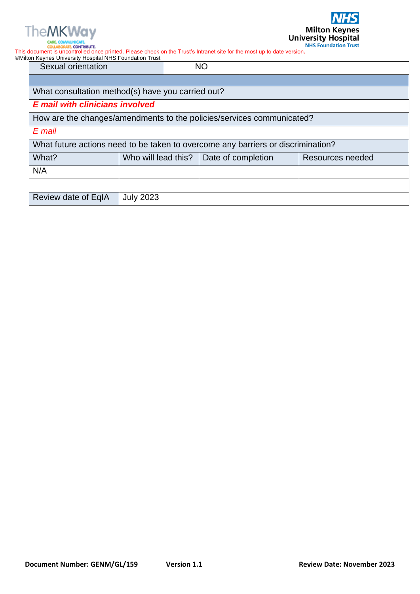

**VHS** 

The MKWay and the Maritime of the Trust's Intranet site for the most up to date version.<br>COLLABORATE CONTRIBUTE.<br>This document is uncontrolled once printed. Please check on the Trust's Intranet site for the most up to date ©Milton Keynes University Hospital NHS Foundation Trust

| <b>Sexual orientation</b>                                                        |                     | <b>NO</b>          |                  |
|----------------------------------------------------------------------------------|---------------------|--------------------|------------------|
|                                                                                  |                     |                    |                  |
| What consultation method(s) have you carried out?                                |                     |                    |                  |
| <b>E</b> mail with clinicians involved                                           |                     |                    |                  |
| How are the changes/amendments to the policies/services communicated?            |                     |                    |                  |
| E mail                                                                           |                     |                    |                  |
| What future actions need to be taken to overcome any barriers or discrimination? |                     |                    |                  |
| What?                                                                            | Who will lead this? | Date of completion | Resources needed |
| N/A                                                                              |                     |                    |                  |
|                                                                                  |                     |                    |                  |
| Review date of EqIA                                                              | <b>July 2023</b>    |                    |                  |